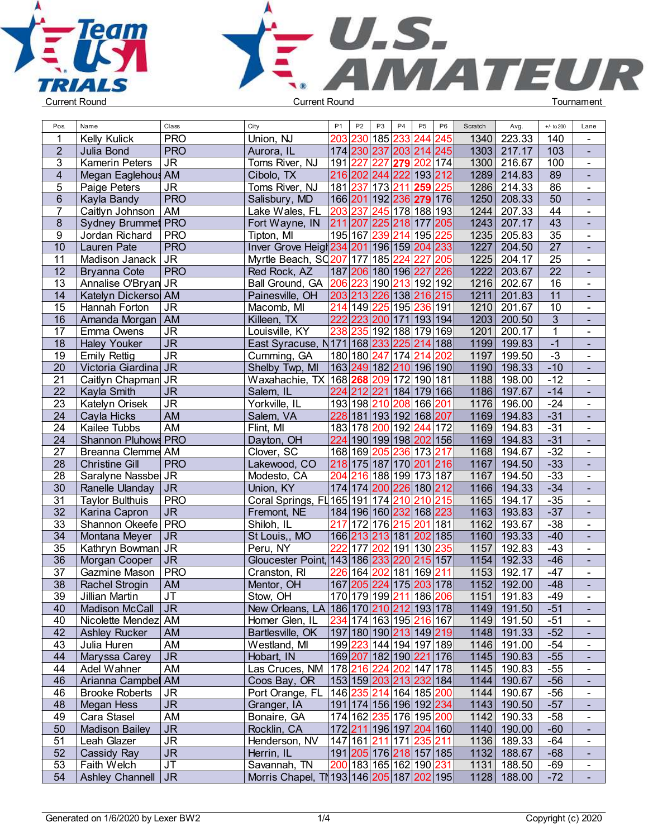



|                 | Name                      | Class          | City                                                   | <b>P1</b>                             | P <sub>2</sub> | P <sub>3</sub>          | P <sub>4</sub> | P <sub>5</sub> | P <sub>6</sub> | Scratch | Avg.          | $+/-$ to 200    | Lane           |  |
|-----------------|---------------------------|----------------|--------------------------------------------------------|---------------------------------------|----------------|-------------------------|----------------|----------------|----------------|---------|---------------|-----------------|----------------|--|
|                 | <b>Kelly Kulick</b>       | <b>PRO</b>     | Union, NJ                                              |                                       |                | 203 230 185 233 244     |                |                | 245            | 1340    | 223.33        | 140             |                |  |
| $\overline{2}$  | Julia Bond                | <b>PRO</b>     | Aurora, IL                                             |                                       |                | 174 230 237 203 214 245 |                |                |                |         | 1303 217.17   | 103             | $\blacksquare$ |  |
| 3               | <b>Kamerin Peters</b>     | <b>JR</b>      | Toms River, NJ                                         | 191 227 227 279 202                   |                |                         |                |                | 174            |         | 1300 216.67   | 100             | $\blacksquare$ |  |
| $\overline{4}$  | Megan Eaglehous AM        |                | Cibolo, TX                                             |                                       |                | 216 202 244 222 193 212 |                |                |                |         | 1289 214.83   | 89              | $\blacksquare$ |  |
| 5               | Paige Peters              | <b>JR</b>      | Toms River, NJ                                         | 181 237 173 211 259                   |                |                         |                |                | 225            |         | 1286 214.33   | 86              | $\blacksquare$ |  |
| $6\phantom{.}$  | Kayla Bandy               | <b>PRO</b>     | Salisbury, MD                                          | 166 201 192 236 279 176               |                |                         |                |                |                |         | 1250 208.33   | 50              | $\blacksquare$ |  |
| $\overline{7}$  | Caitlyn Johnson           | AM             | Lake Wales, FL                                         | 203                                   | 237            | 245 178 188 193         |                |                |                | 1244    | 207.33        | 44              | $\blacksquare$ |  |
| $\bf 8$         | <b>Sydney Brummet PRO</b> |                | Fort Wayne, IN                                         | 211 207 225 218 177                   |                |                         |                |                | 205            |         | 1243 207.17   | $\overline{43}$ | $\blacksquare$ |  |
| 9               | Jordan Richard            | <b>PRO</b>     | Tipton, MI                                             | 195 167 239 214 195                   |                |                         |                |                | 225            | 1235    | 205.83        | $\overline{35}$ | $\blacksquare$ |  |
| 10              | Lauren Pate               | <b>PRO</b>     | Inver Grove Heigh 234 201 196 159 204 233              |                                       |                |                         |                |                |                | 1227    | 204.50        | 27              | $\blacksquare$ |  |
| 11              | Madison Janack            | <b>JR</b>      | Myrtle Beach, SC207 177 185 224 227                    |                                       |                |                         |                |                | 205            |         | 1225 204.17   | 25              | $\blacksquare$ |  |
| 12              | <b>Bryanna Cote</b>       | <b>PRO</b>     | Red Rock, AZ                                           | 187 206 180 196 227                   |                |                         |                |                | 226            | 1222    | 203.67        | 22              | $\blacksquare$ |  |
| 13              | Annalise O'Bryan          | <b>JR</b>      | Ball Ground, GA 206                                    |                                       |                | 223 190 213 192 192     |                |                |                | 1216    | 202.67        | 16              | $\blacksquare$ |  |
| 14              | Katelyn Dickersol AM      |                | Painesville, OH                                        | 203 213 226 138 216 215               |                |                         |                |                |                | 1211    | 201.83        | 11              | $\blacksquare$ |  |
| 15              | Hannah Forton             | <b>JR</b>      | Macomb, MI                                             | 214 149 225 195 236 191               |                |                         |                |                |                | 1210    | 201.67        | 10              | $\blacksquare$ |  |
| 16              | Amanda Morgan   AM        |                | Killeen, TX                                            | 222 223 200 171 193 194               |                |                         |                |                |                |         | 1203 200.50   | 3               | $\blacksquare$ |  |
| 17              | Emma Owens                | <b>JR</b>      | Louisville, KY                                         | 238                                   |                | 235 192 188 179 169     |                |                |                | 1201    | 200.17        | $\mathbf{1}$    | $\blacksquare$ |  |
| 18              | <b>Haley Youker</b>       | J <sub>R</sub> | East Syracuse, N171 168 233 225 214 188                |                                       |                |                         |                |                |                | 1199    | 199.83        | $-1$            | $\blacksquare$ |  |
| 19              | <b>Emily Rettig</b>       | <b>JR</b>      | Cumming, GA                                            | 180 180 247 174 214                   |                |                         |                |                | 202            | 1197    | 199.50        | $-3$            | $\blacksquare$ |  |
| 20              | Victoria Giardina JR      |                | Shelby Twp, MI                                         | 163 249 182 210 196 190               |                |                         |                |                |                |         | 1190 198.33   | $-10$           | $\blacksquare$ |  |
| 21              | Caitlyn Chapman JR        |                | Waxahachie, TX 168 268 209 172 190 181                 |                                       |                |                         |                |                |                |         | 1188 198.00   | $-12$           | $\blacksquare$ |  |
| 22              | Kayla Smith               | <b>JR</b>      | Salem, IL                                              | 224 212 221 184 179 166               |                |                         |                |                |                |         | 1186 197.67   | $-14$           | $\blacksquare$ |  |
| 23              | Katelyn Orisek            | <b>JR</b>      | Yorkville, IL                                          | 193 198 210 208                       |                |                         |                | 166 201        |                | 1176    | 196.00        | $-24$           | $\blacksquare$ |  |
| 24              | Cayla Hicks               | <b>AM</b>      | Salem, VA                                              |                                       |                | 228 181 193 192 168 207 |                |                |                | 1169    | 194.83        | $-31$           | $\blacksquare$ |  |
| 24              | Kailee Tubbs              | AM             | Flint, MI                                              |                                       |                | 183 178 200 192 244     |                |                | 172            | 1169    | 194.83        | $-31$           | $\blacksquare$ |  |
| 24              | Shannon Pluhows PRO       |                | Dayton, OH                                             | 224 190 199 198 202 156               |                |                         |                |                |                | 1169    | 194.83        | $-31$           | $\blacksquare$ |  |
| 27              | <b>Breanna Clemme</b>     | AM             | Clover, SC                                             | 168 169 205 236 173                   |                |                         |                |                | 217            | 1168    | 194.67        | $-32$           | $\blacksquare$ |  |
| $\overline{28}$ | <b>Christine Gill</b>     | <b>PRO</b>     | Lakewood, CO                                           | 218 175 187 170 201 216               |                |                         |                |                |                | 1167    | 194.50        | $-33$           | $\blacksquare$ |  |
| 28              | Saralyne Nassbel JR       |                | Modesto, CA                                            |                                       |                | 204 216 188 199 173 187 |                |                |                | 1167    | 194.50        | $-33$           | $\blacksquare$ |  |
| 30              | Ranelle Ulanday           | <b>JR</b>      | Union, KY                                              | 174 174 200 226 180 212               |                |                         |                |                |                |         | 1166 194.33   | $-34$           | $\blacksquare$ |  |
| 31              | <b>Taylor Bulthuis</b>    | <b>PRO</b>     | Coral Springs, FL 165 191 174 210 210 215              |                                       |                |                         |                |                |                |         | 1165 194.17   | $-35$           | $\blacksquare$ |  |
| 32              | Karina Capron             | <b>JR</b>      | Fremont, NE                                            | 184 196 160 232 168 223               |                |                         |                |                |                |         | 1163 193.83   | $-37$           | $\blacksquare$ |  |
| 33              | Shannon Okeefe PRO        |                | Shiloh, IL                                             | 217 172 176 215 201                   |                |                         |                |                | 181            | 1162    | 193.67        | $-38$           | $\blacksquare$ |  |
| 34              | Montana Meyer             | JR.            | St Louis,, MO                                          |                                       |                | 166 213 213 181 202 185 |                |                |                | 1160    | 193.33        | $-40$           | $\blacksquare$ |  |
| 35              | Kathryn Bowman JR         |                | Peru, NY                                               | 222                                   |                | 177 202 191 130         |                |                | 235            | 1157    | 192.83        | $-43$           | $\blacksquare$ |  |
| $\overline{36}$ | Morgan Cooper             | <b>JR</b>      | Gloucester Point, 143 186 233 220 215 157              |                                       |                |                         |                |                |                |         | 1154 192.33   | $-46$           | $\blacksquare$ |  |
| 37              | Gazmine Mason             | <b>PRO</b>     | Cranston, RI                                           | 226                                   | 164            |                         |                | 202 181 169    | 211            | 1153    | 192.17        | $-47$           | $\sim$         |  |
| $\overline{38}$ | Rachel Strogin            | AM             | Mentor, OH                                             | 167 205 224 175 203 178               |                |                         |                |                |                | 1152    | 192.00        | $-48$           |                |  |
| 39              | Jillian Martin            | JT             | Stow, OH                                               | 170 179 199 211 186 206               |                |                         |                |                |                |         | $1151$ 191.83 | $-49$           | $\sim$         |  |
| 40              | Madison McCall   JR       |                | New Orleans, LA 186 170 210 212 193 178                |                                       |                |                         |                |                |                |         | 1149 191.50   | $-51$           | $\blacksquare$ |  |
| 40              | Nicolette Mendez AM       |                | Homer Glen, IL                                         | 234 174 163 195 216 167               |                |                         |                |                |                |         | 1149 191.50   | $-51$           | $\blacksquare$ |  |
| 42              | <b>Ashley Rucker</b>      | <b>AM</b>      | Bartlesville, OK                                       | 197 180 190 213 149 219               |                |                         |                |                |                |         | 1148 191.33   | $-52$           | $\blacksquare$ |  |
| 43              | Julia Huren               | AM             | Westland, MI                                           | 199 223 144 194 197 189               |                |                         |                |                |                |         | 1146 191.00   | $-54$           | $\blacksquare$ |  |
| 44              | Maryssa Carey             | <b>JR</b>      | Hobart, IN                                             | 169 207 182 190 221 176               |                |                         |                |                |                |         | 1145 190.83   | $-55$           | $\blacksquare$ |  |
| 44              | Adel Wahner               | AM             | Las Cruces, NM  178  <mark>216 224 202</mark>  147 178 |                                       |                |                         |                |                |                |         | 1145 190.83   | $-55$           | $\blacksquare$ |  |
| 46              | Arianna Campbel AM        |                | Coos Bay, OR                                           | 153 159 203 213 232 184               |                |                         |                |                |                |         | 1144 190.67   | $-56$           | $\blacksquare$ |  |
| 46              | <b>Brooke Roberts</b>     | <b>JR</b>      | Port Orange, FL   146  235 214 164 185 200             |                                       |                |                         |                |                |                |         | 1144 190.67   | $-56$           | $\blacksquare$ |  |
| 48              | Megan Hess                | <b>JR</b>      | Granger, IA                                            | 191 174 156 196 192  <mark>234</mark> |                |                         |                |                |                |         | 1143 190.50   | $-57$           | $\blacksquare$ |  |
| 49              | Cara Stasel               | AM             | Bonaire, GA                                            | 174 162 235 176 195 200               |                |                         |                |                |                |         | 1142 190.33   | $-58$           | $\blacksquare$ |  |
| 50              | <b>Madison Bailey</b>     | <b>JR</b>      | Rocklin, CA                                            | 172 211 196 197 204 160               |                |                         |                |                |                |         | 1140 190.00   | $-60$           | $\blacksquare$ |  |
| 51              | Leah Glazer               | <b>JR</b>      | Henderson, NV                                          | 147 161 211 171 235 211               |                |                         |                |                |                |         | 1136 189.33   | $-64$           | $\blacksquare$ |  |
| 52              | Cassidy Ray               | <b>JR</b>      | Herrin, IL                                             | 191 205 176 218 157 185               |                |                         |                |                |                |         | 1132 188.67   | $-68$           | $\blacksquare$ |  |
| 53              | Faith Welch               | <b>JT</b>      | Savannah, TN                                           | 200 183 165 162 190 231               |                |                         |                |                |                |         | 1131 188.50   | $-69$           | $\blacksquare$ |  |
| 54              | Ashley Channell   JR      |                | Morris Chapel, TN 193 146 205 187 202 195              |                                       |                |                         |                |                |                |         | 1128 188.00   | $-72$           | $\blacksquare$ |  |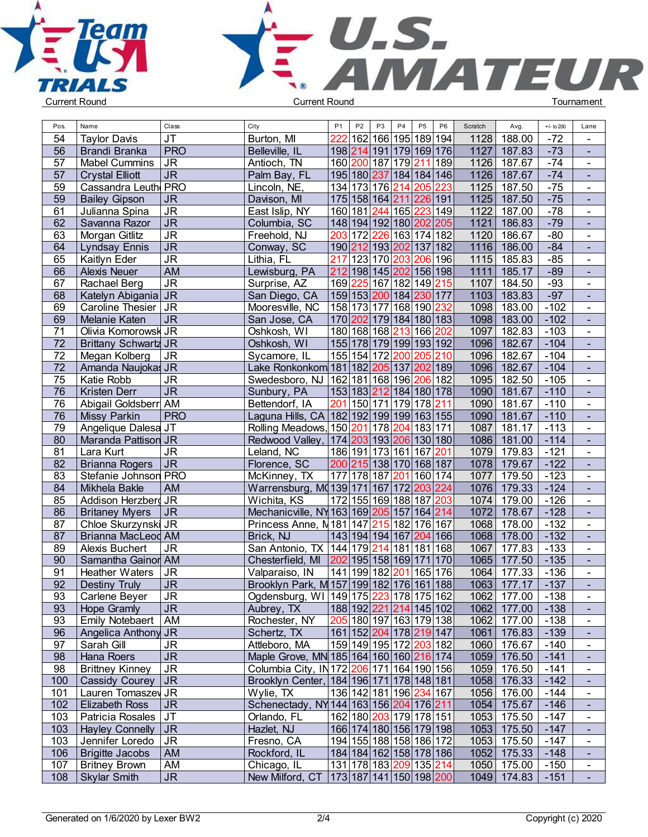



| Pos.     | Name                                          | Class                             | City                                                          | P <sub>1</sub> | P <sub>2</sub> | P <sub>3</sub> | P <sub>4</sub> | P <sub>5</sub>                                        | P <sub>6</sub> | Scratch      | Avg.               | $+/-$ to 200     | Lane                             |  |
|----------|-----------------------------------------------|-----------------------------------|---------------------------------------------------------------|----------------|----------------|----------------|----------------|-------------------------------------------------------|----------------|--------------|--------------------|------------------|----------------------------------|--|
| 54       | <b>Taylor Davis</b>                           | JT                                | Burton, MI                                                    | 222            |                |                |                | 162 166 195 189 194                                   |                | 1128         | 188.00             | $-72$            |                                  |  |
| 56       | <b>Brandi Branka</b>                          | <b>PRO</b>                        | Belleville, IL                                                |                |                |                |                | 198 214 191 179 169 176                               |                | 1127         | 187.83             | $-73$            | $\blacksquare$                   |  |
| 57       | <b>Mabel Cummins</b>                          | JR                                | Antioch, TN                                                   |                |                |                |                | 160 200 187 179 211 189                               |                | 1126         | 187.67             | $-74$            | $\blacksquare$                   |  |
| 57       | <b>Crystal Elliott</b>                        | JR                                | Palm Bay, FL                                                  |                |                |                |                | 195 180 237 184 184 146                               |                | 1126         | 187.67             | $-74$            | $\blacksquare$                   |  |
| 59       | Cassandra Leuth PRO                           |                                   | Lincoln, NE,                                                  |                |                |                |                | 134 173 176 214 205 223                               |                | 1125         | 187.50             | $-75$            | $\blacksquare$                   |  |
| 59       | <b>Bailey Gipson</b>                          | <b>JR</b>                         | Davison, MI                                                   |                |                |                |                | 175 158 164 211 226 191                               |                | 1125         | 187.50             | $-75$            | $\blacksquare$                   |  |
| 61       | Julianna Spina                                | <b>JR</b>                         | East Islip, NY                                                |                |                |                |                | 160 181 244 165 223 149                               |                | 1122         | 187.00             | $-78$            | $\blacksquare$                   |  |
| 62       | Savanna Razor                                 | J <sub>R</sub>                    | Columbia, SC                                                  |                |                |                |                | 148 194 192 180 202 205                               |                | 1121         | 186.83             | $-79$            |                                  |  |
| 63       | Morgan Gitlitz                                | $\overline{\mathsf{J}\mathsf{R}}$ | Freehold, NJ                                                  |                |                |                |                | 203 172 226 163 174 182                               |                | 1120         | 186.67             | $-80$            | $\blacksquare$                   |  |
| 64       | <b>Lyndsay Ennis</b>                          | <b>JR</b>                         | Conway, SC                                                    |                |                |                |                | 190 212 193 202 137 182                               |                | 1116         | 186.00             | $-84$            | $\blacksquare$                   |  |
| 65       | Kaitlyn Eder                                  | <b>JR</b>                         | Lithia, FL                                                    |                |                |                |                | 217 123 170 203 206 196                               |                | 1115         | 185.83             | $-85$            | $\blacksquare$                   |  |
| 66       | Alexis Neuer                                  | AM                                | Lewisburg, PA                                                 |                |                |                |                | 212 198 145 202 156 198                               |                | 1111         | 185.17             | $-89$            |                                  |  |
| 67       | Rachael Berg                                  | <b>JR</b>                         | Surprise, AZ                                                  |                |                |                |                | 169 225 167 182 149 215                               |                | 1107         | 184.50             | $-93$            | $\blacksquare$                   |  |
| 68       | Katelyn Abigania JR                           |                                   | San Diego, CA                                                 |                |                |                |                | 159 153  <mark>200</mark>  184  <mark>230</mark>  177 |                | 1103         | 183.83             | $-97$            | $\blacksquare$                   |  |
| 69       | Caroline Thesier   JR                         |                                   | Mooresville, NC                                               |                |                |                |                | 158 173 177 168 190  <mark>232</mark>                 |                | 1098         | 183.00             | $-102$           | $\blacksquare$                   |  |
| 69       | Melanie Katen                                 | JR                                | San Jose, CA                                                  |                |                |                |                | 170 202 179 184 180 183                               |                | 1098         | 183.00             | $-102$           | $\blacksquare$                   |  |
| 71       | Olivia Komorowsk JR                           |                                   | Oshkosh, WI                                                   |                |                |                |                | 180 168 168 213 166 202                               |                | 1097         | 182.83             | $-103$           | $\blacksquare$                   |  |
| 72       | Brittany Schwartz JR                          |                                   | Oshkosh, WI                                                   |                |                |                |                | 155 178 179 199 193 192                               |                | 1096         | 182.67             | $-104$           |                                  |  |
| 72       | Megan Kolberg                                 | <b>JR</b>                         | Sycamore, IL                                                  |                |                | 155 154 172    |                | 200 205 210                                           |                | 1096         | 182.67             | $-104$           | $\blacksquare$                   |  |
| 72       | Amanda Naujokas JR                            |                                   | Lake Ronkonkom 181   182   205   137   202   189              |                |                |                |                |                                                       |                | 1096         | 182.67             | $-104$           |                                  |  |
| 75       | Katie Robb                                    | <b>JR</b>                         | Swedesboro, NJ   162   181   168   196   206   182            |                |                |                |                |                                                       |                | 1095         | 182.50             | $-105$           | $\blacksquare$                   |  |
| 76       | Kristen Derr                                  | $\overline{\mathsf{J}\mathsf{R}}$ | Sunbury, PA                                                   |                |                |                |                | 153 183 212 184 180 178                               |                | 1090         | 181.67             | $-110$           | $\blacksquare$                   |  |
| 76       | Abigail Goldsberr AM                          |                                   | Bettendorf, IA                                                |                |                |                |                | 201 150 171 179 178 211                               |                | 1090         | 181.67             | $-110$           | $\blacksquare$                   |  |
| 76       | Missy Parkin                                  | <b>PRO</b>                        | Laguna Hills, CA 182 192 199 199 163 155                      |                |                |                |                |                                                       |                | 1090         | 181.67             | $-110$           | $\blacksquare$                   |  |
| 79       | Angelique Dalesa JT                           |                                   | Rolling Meadows, 150 201 178                                  |                |                |                |                | 204 183 171                                           |                | 1087         | 181.17             | $-113$           | $\blacksquare$                   |  |
| 80       | Maranda Pattison JR                           |                                   | Redwood Valley, 174 203 193 206 130 180                       |                |                |                |                |                                                       |                | 1086         | 181.00             | $-114$           | $\blacksquare$                   |  |
| 81       | Lara Kurt                                     | <b>JR</b>                         |                                                               |                |                |                |                | 186 191 173 161 167 201                               |                | 1079         | 179.83             | $-121$           | $\blacksquare$                   |  |
| 82       |                                               | JR                                | Leland, NC<br>Florence, SC                                    |                |                |                |                | 200 215 138 170 168 187                               |                | 1078         | 179.67             | $-122$           | $\blacksquare$                   |  |
| 83       | <b>Brianna Rogers</b><br>Stefanie Johnson PRO |                                   |                                                               |                |                |                |                | 201 160 174                                           |                | 1077         | 179.50             | $-123$           | $\blacksquare$                   |  |
| 84       | Mikhela Bakle                                 | AM                                | McKinney, TX<br>Warrensburg, M0139 171 167                    |                |                | 177 178 187    |                | 172 203 224                                           |                | 1076         | 179.33             | $-124$           |                                  |  |
|          |                                               |                                   |                                                               |                |                |                |                | 172 155 169 188 187  <mark>203</mark>                 |                |              | 179.00             | $-126$           |                                  |  |
| 85<br>86 | Addison Herzberg JR                           | JR                                | Wichita, KS<br>Mechanicville, NY 163 169 205 157 164 214      |                |                |                |                |                                                       |                | 1074<br>1072 | 178.67             | $-128$           | $\blacksquare$<br>$\blacksquare$ |  |
| 87       | <b>Britaney Myers</b><br>Chloe Skurzynski JR  |                                   | Princess Anne, N <sub>181</sub>   147   215   182   176   167 |                |                |                |                |                                                       |                | 1068         | 178.00             | $-132$           | $\mathbf{r}$                     |  |
| 87       |                                               |                                   |                                                               |                |                |                |                | 143 194 194 167 204 166                               |                | 1068         |                    | $-132$           | ÷.                               |  |
|          | Brianna MacLeod AM                            |                                   | Brick, NJ                                                     |                |                |                |                |                                                       |                |              | 178.00             |                  |                                  |  |
| 89<br>90 | Alexis Buchert                                | <b>JR</b>                         | San Antonio, TX   144   179   214   181   181   168           |                |                |                |                |                                                       |                | 1067<br>1065 | 177.83             | $-133$           | $\blacksquare$                   |  |
|          | Samantha Gainor AM                            |                                   | Chesterfield, MI                                              |                |                |                |                | 202 195 158 169 171 170                               |                |              | 177.50<br>177.33   | $-135$<br>$-136$ | $\blacksquare$                   |  |
| 91       | <b>Heather Waters</b>                         | <b>JR</b>                         | Valparaiso, IN                                                |                |                | 141 199 182    |                | 201 165 176                                           |                | 1064         |                    | $-137$           | $\blacksquare$                   |  |
| 92       | Destiny Truly                                 | <b>JR</b>                         | Brooklyn Park, M 157 199 182 176 161 188                      |                |                |                |                |                                                       |                | 1063         | 177.17             |                  |                                  |  |
| 93       | Carlene Beyer                                 | $\overline{\mathsf{J}\mathsf{R}}$ | Ogdensburg, WI 149 175 223 178 175 162                        |                |                |                |                |                                                       |                |              | 1062 177.00        | $-138$           |                                  |  |
| 93       | Hope Gramly                                   | <b>JR</b>                         | Aubrey, TX                                                    |                |                |                |                | 188 192  <mark>221 214</mark>  145 102                |                |              | 1062 177.00        | $-138$           |                                  |  |
| 93       | <b>Emily Notebaert</b>                        | <b>AM</b>                         | Rochester, NY                                                 |                |                |                |                | 205 180 197 163 179 138                               |                |              | 1062 177.00        | $-138$           | $\blacksquare$                   |  |
| 96       | Angelica Anthony JR                           |                                   | Schertz, TX                                                   |                |                |                |                | 161 152 204 178 219 147                               |                |              | 1061   176.83      | $-139$           | $\mathcal{L}_{\mathcal{A}}$      |  |
| 97       | Sarah Gill                                    | <b>JR</b>                         | Attleboro, MA                                                 |                |                |                |                | 159 149 195 172  <mark>203</mark>  182                |                | 1060         | $176.67$           | $-140$           | $\blacksquare$                   |  |
| 98       | Hana Roers                                    | <b>JR</b>                         | Maple Grove, MN 185 164 160 160 216 174                       |                |                |                |                |                                                       |                |              | 1059 176.50        | $-141$           | $\blacksquare$                   |  |
| 98       | <b>Brittney Kinney</b>                        | JR.                               | Columbia City, IN172 206 171 164 190 156                      |                |                |                |                |                                                       |                |              | 1059 176.50        | $-141$           | $\blacksquare$                   |  |
| 100      | <b>Cassidy Courey</b>                         | JR                                | Brooklyn Center,   184   196   171   178   148   181          |                |                |                |                |                                                       |                |              | 1058 176.33        | $-142$           | $\blacksquare$                   |  |
| 101      | Lauren Tomaszey JR                            |                                   | Wylie, TX                                                     |                |                |                |                | 136 142 181 196 234 167                               |                |              | 1056 176.00        | $-144$           | $\blacksquare$                   |  |
| 102      | <b>Elizabeth Ross</b>                         | JR                                | Schenectady, NY 144 163 156 204 176 211                       |                |                |                |                |                                                       |                |              | 1054 175.67        | $-146$           |                                  |  |
| 103      | Patricia Rosales JT                           |                                   | Orlando, FL                                                   |                |                |                |                | 162 180 203 179 178 151                               |                | 1053         | 175.50             | $-147$           | $\blacksquare$                   |  |
| 103      | Hayley Connelly JR                            |                                   | Hazlet, NJ                                                    |                |                |                |                | 166 174 180 156 179 198                               |                | 1053         | 175.50             | $-147$           | $\blacksquare$                   |  |
| 103      | Jennifer Loredo                               | J <sub>R</sub>                    | Fresno, CA                                                    |                |                |                |                | 194 155 188 158 186 172                               |                |              | 1053 175.50        | $-147$           | $\blacksquare$                   |  |
| 106      | <b>Brigitte Jacobs</b>                        | AM                                | Rockford, IL                                                  |                |                |                |                | 184 184 162 158 178 186                               |                |              | 1052 175.33        | $-148$           | $\blacksquare$                   |  |
| 107      | <b>Britney Brown</b>                          | AM                                | Chicago, IL                                                   |                |                |                |                | 131 178 183  <mark>209</mark>  135  <mark>214</mark>  |                |              | 1050 175.00        | $-150$           | $\blacksquare$                   |  |
| 108      | <b>Skylar Smith</b>                           | JR                                | New Milford, CT 173 187 141 150 198 200                       |                |                |                |                |                                                       |                |              | $1049$ 174.83 -151 |                  | $\mathcal{L}_{\mathcal{A}}$      |  |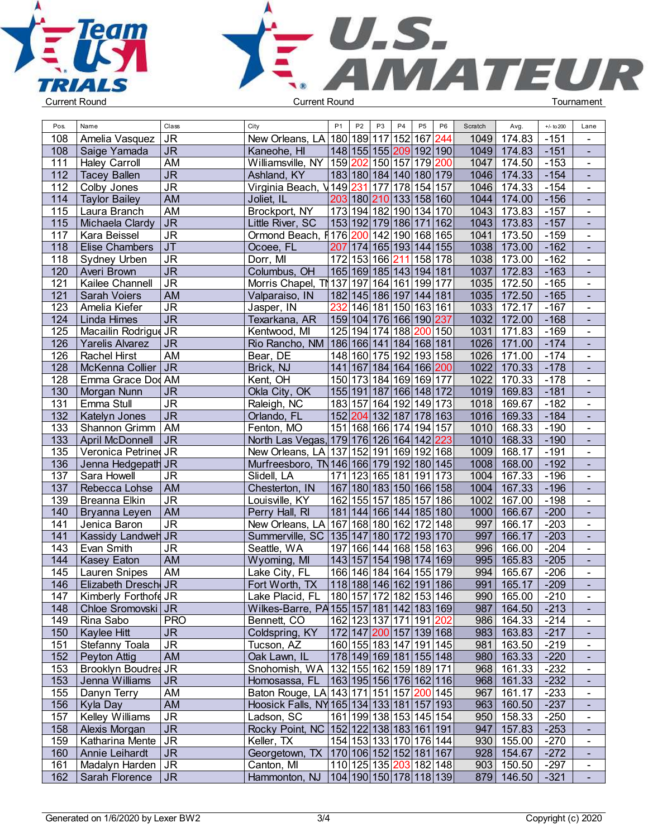



| Pos. | Name                   | Class                             | City                                                | P <sub>1</sub>                         | P <sub>2</sub> | P <sub>3</sub> | P4 | P <sub>5</sub>          | P <sub>6</sub> | Scratch | Avg.         | $+/-$ to 200 | Lane                             |  |
|------|------------------------|-----------------------------------|-----------------------------------------------------|----------------------------------------|----------------|----------------|----|-------------------------|----------------|---------|--------------|--------------|----------------------------------|--|
| 108  | Amelia Vasquez         | <b>JR</b>                         | New Orleans, LA 180 189 117 152 167 244             |                                        |                |                |    |                         |                | 1049    | 174.83       | $-151$       | $\blacksquare$                   |  |
| 108  | Saige Yamada           | <b>JR</b>                         | Kaneohe, HI                                         | 148 155 155  <mark>209</mark>  192 190 |                |                |    |                         |                | 1049    | 174.83       | $-151$       | $\sim$                           |  |
| 111  | <b>Haley Carroll</b>   | AM                                | Williamsville, NY  159                              |                                        |                |                |    | 202 150 157 179 200     |                | 1047    | 174.50       | $-153$       | $\blacksquare$                   |  |
| 112  | <b>Tacey Ballen</b>    | $\overline{\mathsf{J}\mathsf{R}}$ | Ashland, KY                                         | 183 180 184 140 180 179                |                |                |    |                         |                | 1046    | 174.33       | $-154$       | $\blacksquare$                   |  |
| 112  | Colby Jones            | <b>JR</b>                         | Virginia Beach,                                     | $V$ 149                                |                |                |    | 231 177 178 154 157     |                | 1046    | 174.33       | $-154$       | $\blacksquare$                   |  |
| 114  | <b>Taylor Bailey</b>   | <b>AM</b>                         | Joliet, IL                                          | 203 180 210 133 158 160                |                |                |    |                         |                | 1044    | 174.00       | $-156$       | $\blacksquare$                   |  |
| 115  | Laura Branch           | <b>AM</b>                         | Brockport, NY                                       | 173 194 182 190 134 170                |                |                |    |                         |                | 1043    | 173.83       | $-157$       | $\overline{a}$                   |  |
|      |                        | J <sub>R</sub>                    |                                                     |                                        |                |                |    |                         |                |         |              |              | $\mathbf{r}$                     |  |
| 115  | Michaela Clardy        |                                   | Little River, SC                                    | 153 192 179 186 171 162                |                |                |    |                         |                | 1043    | 173.83       | $-157$       |                                  |  |
| 117  | Kara Beissel           | <b>JR</b>                         | Ormond Beach, F176                                  |                                        |                |                |    | 200 142 190 168 165     |                | 1041    | 173.50       | $-159$       | $\blacksquare$                   |  |
| 118  | <b>Elise Chambers</b>  | <b>JT</b>                         | Ocoee, FL                                           |                                        |                |                |    | 207 174 165 193 144 155 |                | 1038    | 173.00       | $-162$       | $\blacksquare$                   |  |
| 118  | Sydney Urben           | <b>JR</b>                         | Dorr, MI                                            |                                        |                |                |    | 172 153 166 211 158 178 |                | 1038    | 173.00       | $-162$       | $\blacksquare$                   |  |
| 120  | Averi Brown            | <b>JR</b>                         | Columbus, OH                                        | 165 169 185 143 194 181                |                |                |    |                         |                | 1037    | 172.83       | $-163$       | $\blacksquare$                   |  |
| 121  | Kailee Channell        | $\overline{\mathsf{J}\mathsf{R}}$ | Morris Chapel, TN 137 197 164 161 199 177           |                                        |                |                |    |                         |                | 1035    | 172.50       | $-165$       | $\blacksquare$                   |  |
| 121  | Sarah Voiers           | <b>AM</b>                         | Valparaiso, IN                                      | 182 145 186 197 144 181                |                |                |    |                         |                | 1035    | 172.50       | $-165$       | $\blacksquare$                   |  |
| 123  | Amelia Kiefer          | <b>JR</b>                         | Jasper, IN                                          | 232                                    |                |                |    | 146 181 150 163 161     |                | 1033    | 172.17       | $-167$       | $\blacksquare$                   |  |
| 124  | Linda Himes            | $\overline{\mathsf{J}\mathsf{R}}$ | Texarkana, AR                                       | 159 104 176 166 190  <mark>237</mark>  |                |                |    |                         |                |         | 1032 172.00  | $-168$       | $\blacksquare$                   |  |
| 125  | Macailin Rodrigue JR   |                                   | Kentwood, MI                                        |                                        |                |                |    | 125 194 174 188 200 150 |                | 1031    | 171.83       | $-169$       | $\mathbf{r}$                     |  |
| 126  | Yarelis Alvarez        | <b>JR</b>                         | Rio Rancho, NM 186 166 141 184 168 181              |                                        |                |                |    |                         |                | 1026    | 171.00       | $-174$       | $\mathbf{u}^{\prime}$            |  |
| 126  | <b>Rachel Hirst</b>    | AM                                | Bear, DE                                            |                                        |                |                |    | 148 160 175 192 193 158 |                | 1026    | 171.00       | $-174$       | $\blacksquare$                   |  |
| 128  | McKenna Collier        | <b>JR</b>                         | Brick, NJ                                           |                                        |                |                |    | 141 167 184 164 166 200 |                | 1022    | 170.33       | $-178$       | $\blacksquare$                   |  |
| 128  | Emma Grace Dod AM      |                                   | Kent, OH                                            |                                        |                |                |    | 150 173 184 169 169 177 |                | 1022    | 170.33       | $-178$       | $\blacksquare$                   |  |
| 130  | Morgan Nunn            | <b>JR</b>                         | Okla City, OK                                       | 155 191 187 166 148 172                |                |                |    |                         |                | 1019    | 169.83       | $-181$       | $\blacksquare$                   |  |
| 131  | Emma Stull             | <b>JR</b>                         | Raleigh, NC                                         |                                        |                |                |    | 183 157 164 192 149 173 |                | 1018    | 169.67       | $-182$       | $\blacksquare$                   |  |
| 132  | Katelyn Jones          | <b>JR</b>                         | Orlando, FL                                         |                                        |                |                |    | 152 204 132 187 178 163 |                | 1016    | 169.33       | $-184$       | $\blacksquare$                   |  |
| 133  | Shannon Grimm          | AM                                | Fenton, MO                                          |                                        |                |                |    | 151 168 166 174 194 157 |                | 1010    | 168.33       | $-190$       | $\blacksquare$                   |  |
| 133  | April McDonnell        | <b>JR</b>                         | North Las Vegas, 179 176 126 164 142 223            |                                        |                |                |    |                         |                | 1010    | 168.33       | $-190$       | $\blacksquare$                   |  |
| 135  | Veronica Petrined JR   |                                   | New Orleans, LA 137 152 191 169 192 168             |                                        |                |                |    |                         |                | 1009    | 168.17       | $-191$       | $\blacksquare$                   |  |
| 136  | Jenna Hedgepath JR     |                                   | Murfreesboro, TN 146 166 179 192 180 145            |                                        |                |                |    |                         |                | 1008    | 168.00       | $-192$       | $\mathcal{L}_{\mathcal{A}}$      |  |
| 137  | Sara Howell            | <b>JR</b>                         | Slidell, LA                                         |                                        |                |                |    | 171 123 165 181 191 173 |                | 1004    | 167.33       | $-196$       | $\blacksquare$                   |  |
| 137  | Rebecca Lohse          | AM                                | Chesterton, IN                                      | 167 180 183 150 166 158                |                |                |    |                         |                | 1004    | 167.33       | $-196$       | $\blacksquare$                   |  |
| 139  | Breanna Elkin          | <b>JR</b>                         | Louisville, KY                                      |                                        |                |                |    | 162 155 157 185 157 186 |                | 1002    | 167.00       | $-198$       | $\blacksquare$                   |  |
| 140  | Bryanna Leyen          | <b>AM</b>                         | Perry Hall, RI                                      | 181 144 166 144 185 180                |                |                |    |                         |                | 1000    | 166.67       | $-200$       | $\blacksquare$                   |  |
| 141  | Jenica Baron           | <b>JR</b>                         | New Orleans, LA 167 168 180 162 172 148             |                                        |                |                |    |                         |                | 997     | 166.17       | $-203$       | $\mathbf{r}$                     |  |
| 141  | Kassidy Landweh JR     |                                   | Summerville, SC   135   147   180   172   193   170 |                                        |                |                |    |                         |                | 997     | 166.17       | $-203$       | $\blacksquare$                   |  |
| 143  | Evan Smith             | <b>JR</b>                         | Seattle, WA                                         |                                        |                |                |    | 197 166 144 168 158 163 |                | 996     | 166.00       | $-204$       | $\blacksquare$                   |  |
| 144  | Kasey Eaton            | AM                                | Wyoming, MI                                         | 143 157 154 198 174 169                |                |                |    |                         |                | 995     | 165.83       | $-205$       | $\blacksquare$                   |  |
| 145  | <b>Lauren Snipes</b>   | AM                                | Lake City, FL                                       |                                        |                |                |    | 166 146 184 164 155 179 |                | 994     | 165.67       | $-206$       | $\blacksquare$                   |  |
| 146  | Elizabeth Dresch JR    |                                   | Fort Worth, TX                                      | 118 188 146 162 191 186                |                |                |    |                         |                | 991     | 165.17       | $-209$       |                                  |  |
| 147  | Kimberly Forthofd JR   |                                   | Lake Placid, FL   180   157   172   182   153   146 |                                        |                |                |    |                         |                |         | 990   165.00 | $-210$       | $\blacksquare$                   |  |
| 148  | Chloe Sromovski   JR   |                                   | Wilkes-Barre, PA 155 157 181 142 183 169            |                                        |                |                |    |                         |                | 987     | 164.50       | $-213$       | $\sim$                           |  |
| 149  | Rina Sabo              | <b>PRO</b>                        | Bennett, CO                                         | 162 123 137 171 191  <mark>202</mark>  |                |                |    |                         |                | 986     | 164.33       | $-214$       | $\blacksquare$                   |  |
| 150  | <b>Kaylee Hitt</b>     | <b>JR</b>                         | Coldspring, KY   172   147   200   157   139   168  |                                        |                |                |    |                         |                | 983     | 163.83       | $-217$       |                                  |  |
| 151  | Stefanny Toala         | JR.                               | Tucson, AZ                                          | 160 155 183 147 191 145                |                |                |    |                         |                | 981     | 163.50       | $-219$       | $\blacksquare$                   |  |
| 152  | Peyton Attig           | AM                                | Oak Lawn, IL                                        | 178 149 169 181 155 148                |                |                |    |                         |                |         | 980 163.33   | $-220$       | $\blacksquare$                   |  |
| 153  | Brooklyn Boudrea JR    |                                   | Snohomish, WA   132   155   162   159   189   171   |                                        |                |                |    |                         |                |         | 968 161.33   | $-232$       |                                  |  |
| 153  | Jenna Williams         | <b>JR</b>                         | Homosassa, FL   163   195   156   176   162   116   |                                        |                |                |    |                         |                |         | 968 161.33   | $-232$       | $\blacksquare$<br>$\blacksquare$ |  |
|      |                        |                                   |                                                     |                                        |                |                |    |                         |                |         |              |              |                                  |  |
| 155  | Danyn Terry            | AM                                | Baton Rouge, LA 143 171 151 157 200 145             |                                        |                |                |    |                         |                | 967     | 161.17       | $-233$       | $\blacksquare$                   |  |
| 156  | Kyla Day               | AM                                | Hoosick Falls, NY 165 134 133 181 157 193           |                                        |                |                |    |                         |                |         | 963   160.50 | $-237$       | $\mathcal{L}_{\mathcal{A}}$      |  |
| 157  | <b>Kelley Williams</b> | <b>JR</b>                         | Ladson, SC                                          | 161 199 138 153 145 154                |                |                |    |                         |                |         | 950 158.33   | $-250$       | $\sim$                           |  |
| 158  | Alexis Morgan          | <b>JR</b>                         | Rocky Point, NC   152   122   138   183   161   191 |                                        |                |                |    |                         |                | 947     | 157.83       | $-253$       | $\sim$                           |  |
| 159  | Katharina Mente        | <b>JR</b>                         | Keller, TX                                          | 154 153 133 170 176 144                |                |                |    |                         |                |         | 930 155.00   | $-270$       | $\blacksquare$                   |  |
| 160  | Annie Leihardt         | <b>JR</b>                         | Georgetown, TX   170   106   152   152   181   167  |                                        |                |                |    |                         |                |         | $928$ 154.67 | $-272$       |                                  |  |
| 161  | Madalyn Harden   JR    |                                   | Canton, MI                                          | 110 125 135  <mark>203</mark>  182 148 |                |                |    |                         |                |         | $903$ 150.50 | $-297$       | $\blacksquare$                   |  |
| 162  | Sarah Florence         | JR                                | Hammonton, NJ   104   190   150   178   118   139   |                                        |                |                |    |                         |                |         | 879 146.50   | $-321$       |                                  |  |